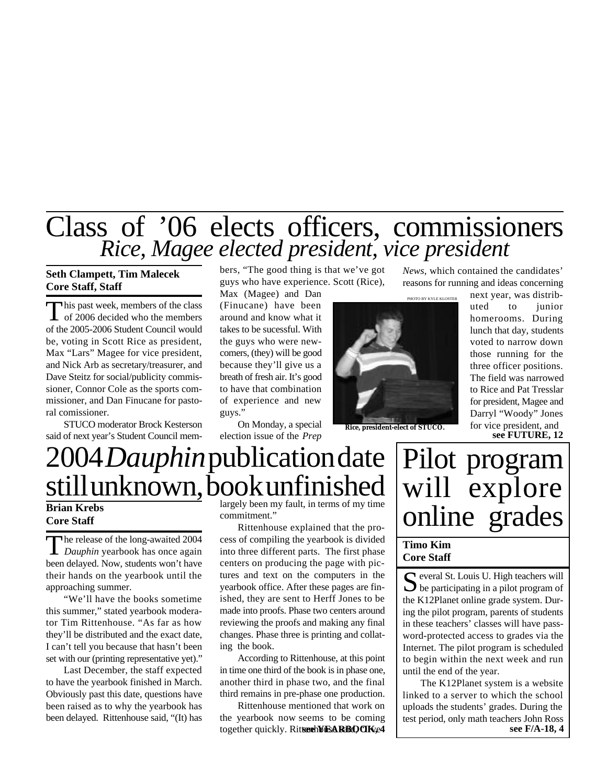# Class of '06 elects officers, commissioners *Rice, Magee elected president, vice president*

## **Seth Clampett, Tim Malecek Core Staff, Staff**

This past week, members of the class<br>of 2006 decided who the members his past week, members of the class of the 2005-2006 Student Council would be, voting in Scott Rice as president, Max "Lars" Magee for vice president, and Nick Arb as secretary/treasurer, and Dave Steitz for social/publicity commissioner, Connor Cole as the sports commissioner, and Dan Finucane for pastoral comissioner.

STUCO moderator Brock Kesterson said of next year's Student Council members, "The good thing is that we've got guys who have experience. Scott (Rice),

Max (Magee) and Dan (Finucane) have been around and know what it takes to be sucessful. With the guys who were newcomers, (they) will be good because they'll give us a breath of fresh air. It's good to have that combination of experience and new guys."

On Monday, a special election issue of the *Prep*



**Rice, president-elect of STUCO.**

*News*, which contained the candidates' reasons for running and ideas concerning

**see FUTURE, 12** next year, was distributed to junior homerooms. During lunch that day, students voted to narrow down those running for the three officer positions. The field was narrowed to Rice and Pat Tresslar for president, Magee and Darryl "Woody" Jones for vice president, and

# 2004 *Dauphin*publication date still unknown, book unfinished

## **Brian Krebs Core Staff**

The release of the long-awaited 2004<br>*Dauphin* yearbook has once again he release of the long-awaited 2004 been delayed. Now, students won't have their hands on the yearbook until the approaching summer.

"We'll have the books sometime this summer," stated yearbook moderator Tim Rittenhouse. "As far as how they'll be distributed and the exact date, I can't tell you because that hasn't been set with our (printing representative yet)."

Last December, the staff expected to have the yearbook finished in March. Obviously past this date, questions have been raised as to why the yearbook has been delayed. Rittenhouse said, "(It) has

largely been my fault, in terms of my time commitment."

Rittenhouse explained that the process of compiling the yearbook is divided into three different parts. The first phase centers on producing the page with pictures and text on the computers in the yearbook office. After these pages are finished, they are sent to Herff Jones to be made into proofs. Phase two centers around reviewing the proofs and making any final changes. Phase three is printing and collating the book.

According to Rittenhouse, at this point in time one third of the book is in phase one, another third in phase two, and the final third remains in pre-phase one production.

Rittenhouse mentioned that work on the yearbook now seems to be coming together quickly. Ritterhouse a RBOOK, 4

# Pilot program will explore online grades

## **Timo Kim Core Staff**

S everal St. Louis U. High teachers will<br>be participating in a pilot program of everal St. Louis U. High teachers will the K12Planet online grade system. During the pilot program, parents of students in these teachers' classes will have password-protected access to grades via the Internet. The pilot program is scheduled to begin within the next week and run until the end of the year.

The K12Planet system is a website linked to a server to which the school uploads the students' grades. During the test period, only math teachers John Ross **see F/A-18, 4**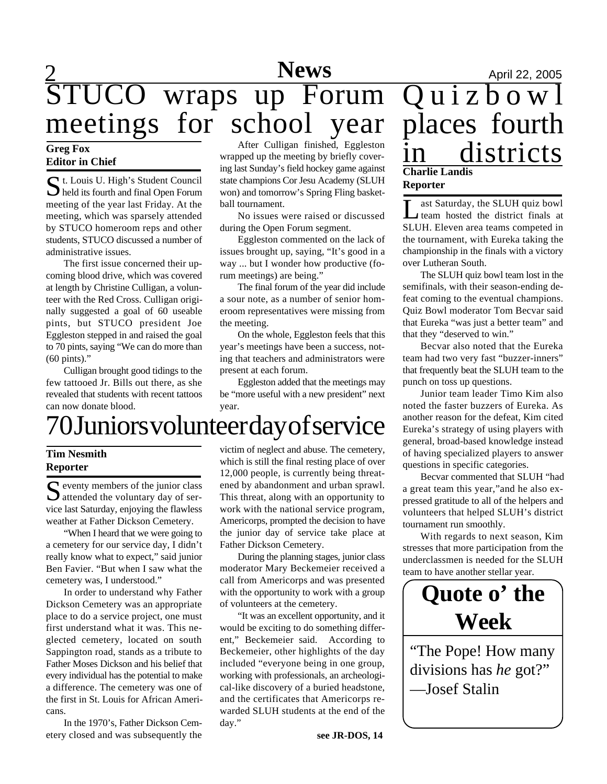# $\frac{2}{2}$  April 22, 2005 STUCO wraps up Forum meetings for school year

## **Editor in Chief**

 $S$ t. Louis U. High's Student Council<br>held its fourth and final Open Forum t. Louis U. High's Student Council meeting of the year last Friday. At the meeting, which was sparsely attended by STUCO homeroom reps and other students, STUCO discussed a number of administrative issues.

The first issue concerned their upcoming blood drive, which was covered at length by Christine Culligan, a volunteer with the Red Cross. Culligan originally suggested a goal of 60 useable pints, but STUCO president Joe Eggleston stepped in and raised the goal to 70 pints, saying "We can do more than (60 pints)."

Culligan brought good tidings to the few tattooed Jr. Bills out there, as she revealed that students with recent tattoos can now donate blood.

Greg Fox<br>
Faiter in Chief Wrapped up the meeting by briefly cover-<br>
Faiter in Chief Wrapped up the meeting by briefly cover-<br>  $\overline{in}$   $\overline{in}$   $\overline{in}$   $\overline{in}$   $\overline{in}$   $\overline{in}$   $\overline{in}$   $\overline{in}$   $\overline{in}$   $\overline{in}$   $\overline{in$ After Culligan finished, Eggleston wrapped up the meeting by briefly covering last Sunday's field hockey game against state champions Cor Jesu Academy (SLUH won) and tomorrow's Spring Fling basketball tournament.

> No issues were raised or discussed during the Open Forum segment.

> Eggleston commented on the lack of issues brought up, saying, "It's good in a way ... but I wonder how productive (forum meetings) are being."

> The final forum of the year did include a sour note, as a number of senior homeroom representatives were missing from the meeting.

> On the whole, Eggleston feels that this year's meetings have been a success, noting that teachers and administrators were present at each forum.

> Eggleston added that the meetings may be "more useful with a new president" next year.

# 70 Juniors volunteer day of service

## **Tim Nesmith Reporter**

S eventy members of the junior class<br>attended the voluntary day of ser- $\Gamma$  eventy members of the junior class vice last Saturday, enjoying the flawless weather at Father Dickson Cemetery.

"When I heard that we were going to a cemetery for our service day, I didn't really know what to expect," said junior Ben Favier. "But when I saw what the cemetery was, I understood."

In order to understand why Father Dickson Cemetery was an appropriate place to do a service project, one must first understand what it was. This neglected cemetery, located on south Sappington road, stands as a tribute to Father Moses Dickson and his belief that every individual has the potential to make a difference. The cemetery was one of the first in St. Louis for African Americans.

In the 1970's, Father Dickson Cemetery closed and was subsequently the

victim of neglect and abuse. The cemetery, which is still the final resting place of over 12,000 people, is currently being threatened by abandonment and urban sprawl. This threat, along with an opportunity to work with the national service program, Americorps, prompted the decision to have the junior day of service take place at Father Dickson Cemetery.

During the planning stages, junior class moderator Mary Beckemeier received a call from Americorps and was presented with the opportunity to work with a group of volunteers at the cemetery.

"It was an excellent opportunity, and it would be exciting to do something different," Beckemeier said. According to Beckemeier, other highlights of the day included "everyone being in one group, working with professionals, an archeological-like discovery of a buried headstone, and the certificates that Americorps rewarded SLUH students at the end of the day."

# Quizbow<sup>1</sup> places fourth **Charlie Landis**

## **Reporter**

Let a Saturday, the SLUH quiz bowl<br>team hosted the district finals at ast Saturday, the SLUH quiz bowl SLUH. Eleven area teams competed in the tournament, with Eureka taking the championship in the finals with a victory over Lutheran South.

The SLUH quiz bowl team lost in the semifinals, with their season-ending defeat coming to the eventual champions. Quiz Bowl moderator Tom Becvar said that Eureka "was just a better team" and that they "deserved to win."

Becvar also noted that the Eureka team had two very fast "buzzer-inners" that frequently beat the SLUH team to the punch on toss up questions.

Junior team leader Timo Kim also noted the faster buzzers of Eureka. As another reason for the defeat, Kim cited Eureka's strategy of using players with general, broad-based knowledge instead of having specialized players to answer questions in specific categories.

Becvar commented that SLUH "had a great team this year,"and he also expressed gratitude to all of the helpers and volunteers that helped SLUH's district tournament run smoothly.

With regards to next season, Kim stresses that more participation from the underclassmen is needed for the SLUH team to have another stellar year.

# **Quote o' the Week**

"The Pope! How many divisions has *he* got?" —Josef Stalin

**see JR-DOS, 14**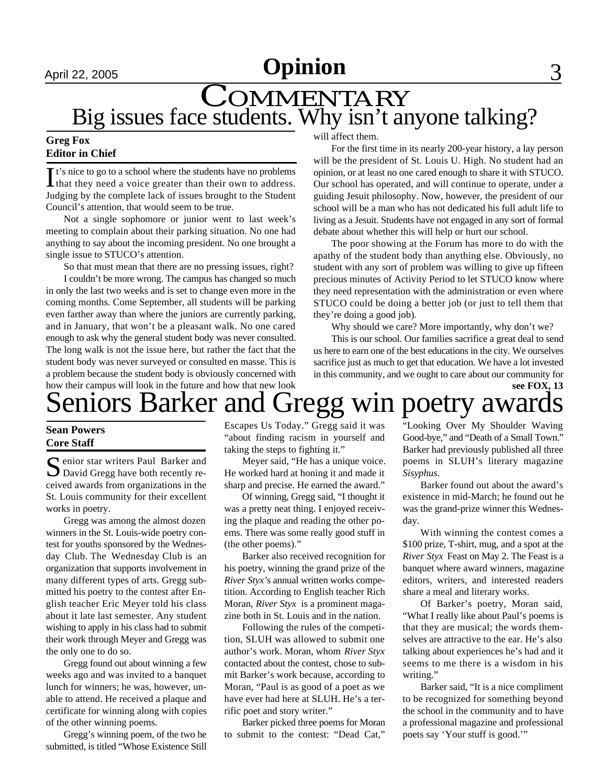# April 22, 2005 **Opinion** 3

# Big issues face students. Why isn't anyone talking? COMMENTARY

## **Greg Fox Editor in Chief**

It's nice to go to a school where the students have no problems<br>that they need a voice greater than their own to address.  $\mathbf{\mathsf{T}}$  t's nice to go to a school where the students have no problems Judging by the complete lack of issues brought to the Student Council's attention, that would seem to be true.

Not a single sophomore or junior went to last week's meeting to complain about their parking situation. No one had anything to say about the incoming president. No one brought a single issue to STUCO's attention.

So that must mean that there are no pressing issues, right?

I couldn't be more wrong. The campus has changed so much in only the last two weeks and is set to change even more in the coming months. Come September, all students will be parking even farther away than where the juniors are currently parking, and in January, that won't be a pleasant walk. No one cared enough to ask why the general student body was never consulted. The long walk is not the issue here, but rather the fact that the student body was never surveyed or consulted en masse. This is a problem because the student body is obviously concerned with how their campus will look in the future and how that new look will affect them.

For the first time in its nearly 200-year history, a lay person will be the president of St. Louis U. High. No student had an opinion, or at least no one cared enough to share it with STUCO. Our school has operated, and will continue to operate, under a guiding Jesuit philosophy. Now, however, the president of our school will be a man who has not dedicated his full adult life to living as a Jesuit. Students have not engaged in any sort of formal debate about whether this will help or hurt our school.

The poor showing at the Forum has more to do with the apathy of the student body than anything else. Obviously, no student with any sort of problem was willing to give up fifteen precious minutes of Activity Period to let STUCO know where they need representation with the administration or even where STUCO could be doing a better job (or just to tell them that they're doing a good job).

Why should we care? More importantly, why don't we?

This is our school. Our families sacrifice a great deal to send us here to earn one of the best educations in the city. We ourselves sacrifice just as much to get that education. We have a lot invested in this community, and we ought to care about our community for **see FOX, 13**

# eniors Barker and Gregg win poetry awar

## **Sean Powers Core Staff**

Senior star writers Paul Barker and<br>David Gregg have both recently re-**C** enior star writers Paul Barker and ceived awards from organizations in the St. Louis community for their excellent works in poetry.

Gregg was among the almost dozen winners in the St. Louis-wide poetry contest for youths sponsored by the Wednesday Club. The Wednesday Club is an organization that supports involvement in many different types of arts. Gregg submitted his poetry to the contest after English teacher Eric Meyer told his class about it late last semester. Any student wishing to apply in his class had to submit their work through Meyer and Gregg was the only one to do so.

Gregg found out about winning a few weeks ago and was invited to a banquet lunch for winners; he was, however, unable to attend. He received a plaque and certificate for winning along with copies of the other winning poems.

Gregg's winning poem, of the two he submitted, is titled "Whose Existence Still

Escapes Us Today." Gregg said it was "about finding racism in yourself and taking the steps to fighting it."

Meyer said, "He has a unique voice. He worked hard at honing it and made it sharp and precise. He earned the award."

Of winning, Gregg said, "I thought it was a pretty neat thing. I enjoyed receiving the plaque and reading the other poems. There was some really good stuff in (the other poems)."

Barker also received recognition for his poetry, winning the grand prize of the *River Styx'*s annual written works competition. According to English teacher Rich Moran, *River Styx* is a prominent magazine both in St. Louis and in the nation.

Following the rules of the competition, SLUH was allowed to submit one author's work. Moran, whom *River Styx* contacted about the contest, chose to submit Barker's work because, according to Moran, "Paul is as good of a poet as we have ever had here at SLUH. He's a terrific poet and story writer."

Barker picked three poems for Moran to submit to the contest: "Dead Cat,"

"Looking Over My Shoulder Waving Good-bye," and "Death of a Small Town." Barker had previously published all three poems in SLUH's literary magazine *Sisyphus*.

Barker found out about the award's existence in mid-March; he found out he was the grand-prize winner this Wednesday.

With winning the contest comes a \$100 prize, T-shirt, mug, and a spot at the *River Styx* Feast on May 2. The Feast is a banquet where award winners, magazine editors, writers, and interested readers share a meal and literary works.

Of Barker's poetry, Moran said, "What I really like about Paul's poems is that they are musical; the words themselves are attractive to the ear. He's also talking about experiences he's had and it seems to me there is a wisdom in his writing."

Barker said, "It is a nice compliment to be recognized for something beyond the school in the community and to have a professional magazine and professional poets say 'Your stuff is good.'"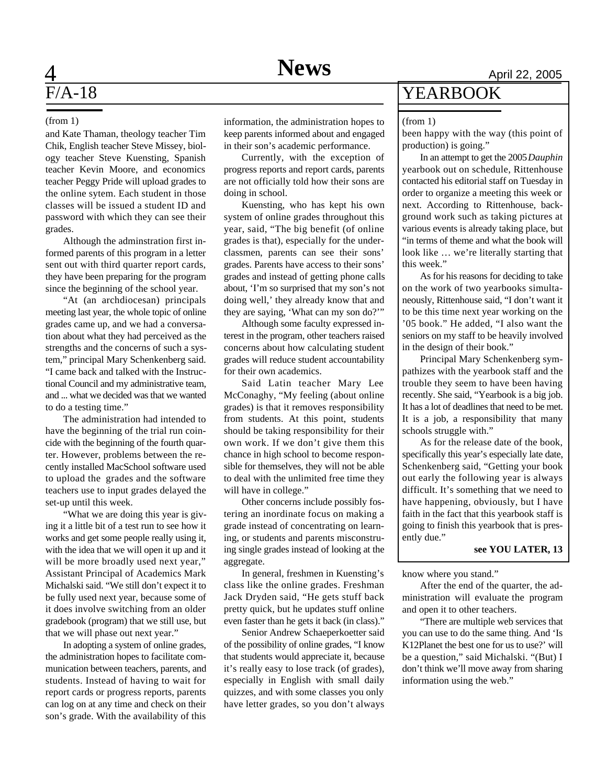and Kate Thaman, theology teacher Tim Chik, English teacher Steve Missey, biology teacher Steve Kuensting, Spanish teacher Kevin Moore, and economics teacher Peggy Pride will upload grades to the online sytem. Each student in those classes will be issued a student ID and password with which they can see their grades.

Although the adminstration first informed parents of this program in a letter sent out with third quarter report cards, they have been preparing for the program since the beginning of the school year.

"At (an archdiocesan) principals meeting last year, the whole topic of online grades came up, and we had a conversation about what they had perceived as the strengths and the concerns of such a system," principal Mary Schenkenberg said. "I came back and talked with the Instructional Council and my administrative team, and ... what we decided was that we wanted to do a testing time."

The administration had intended to have the beginning of the trial run coincide with the beginning of the fourth quarter. However, problems between the recently installed MacSchool software used to upload the grades and the software teachers use to input grades delayed the set-up until this week.

"What we are doing this year is giving it a little bit of a test run to see how it works and get some people really using it, with the idea that we will open it up and it will be more broadly used next year," Assistant Principal of Academics Mark Michalski said. "We still don't expect it to be fully used next year, because some of it does involve switching from an older gradebook (program) that we still use, but that we will phase out next year."

In adopting a system of online grades, the administration hopes to facilitate communication between teachers, parents, and students. Instead of having to wait for report cards or progress reports, parents can log on at any time and check on their son's grade. With the availability of this

(from 1) information, the administration hopes to keep parents informed about and engaged in their son's academic performance.

> Currently, with the exception of progress reports and report cards, parents are not officially told how their sons are doing in school.

Kuensting, who has kept his own system of online grades throughout this year, said, "The big benefit (of online grades is that), especially for the underclassmen, parents can see their sons' grades. Parents have access to their sons' grades and instead of getting phone calls about, 'I'm so surprised that my son's not doing well,' they already know that and they are saying, 'What can my son do?'"

Although some faculty expressed interest in the program, other teachers raised concerns about how calculating student grades will reduce student accountability for their own academics.

Said Latin teacher Mary Lee McConaghy, "My feeling (about online grades) is that it removes responsibility from students. At this point, students should be taking responsibility for their own work. If we don't give them this chance in high school to become responsible for themselves, they will not be able to deal with the unlimited free time they will have in college."

Other concerns include possibly fostering an inordinate focus on making a grade instead of concentrating on learning, or students and parents misconstruing single grades instead of looking at the aggregate.

In general, freshmen in Kuensting's class like the online grades. Freshman Jack Dryden said, "He gets stuff back pretty quick, but he updates stuff online even faster than he gets it back (in class)."

Senior Andrew Schaeperkoetter said of the possibility of online grades, "I know that students would appreciate it, because it's really easy to lose track (of grades), especially in English with small daily quizzes, and with some classes you only have letter grades, so you don't always

## YEARBOOK

#### (from 1)

been happy with the way (this point of production) is going."

In an attempt to get the 2005 *Dauphin* yearbook out on schedule, Rittenhouse contacted his editorial staff on Tuesday in order to organize a meeting this week or next. According to Rittenhouse, background work such as taking pictures at various events is already taking place, but "in terms of theme and what the book will look like … we're literally starting that this week."

As for his reasons for deciding to take on the work of two yearbooks simultaneously, Rittenhouse said, "I don't want it to be this time next year working on the '05 book." He added, "I also want the seniors on my staff to be heavily involved in the design of their book."

Principal Mary Schenkenberg sympathizes with the yearbook staff and the trouble they seem to have been having recently. She said, "Yearbook is a big job. It has a lot of deadlines that need to be met. It is a job, a responsibility that many schools struggle with."

As for the release date of the book, specifically this year's especially late date, Schenkenberg said, "Getting your book out early the following year is always difficult. It's something that we need to have happening, obviously, but I have faith in the fact that this yearbook staff is going to finish this yearbook that is presently due."

## **see YOU LATER, 13**

know where you stand."

After the end of the quarter, the administration will evaluate the program and open it to other teachers.

"There are multiple web services that you can use to do the same thing. And 'Is K12Planet the best one for us to use?' will be a question," said Michalski. "(But) I don't think we'll move away from sharing information using the web."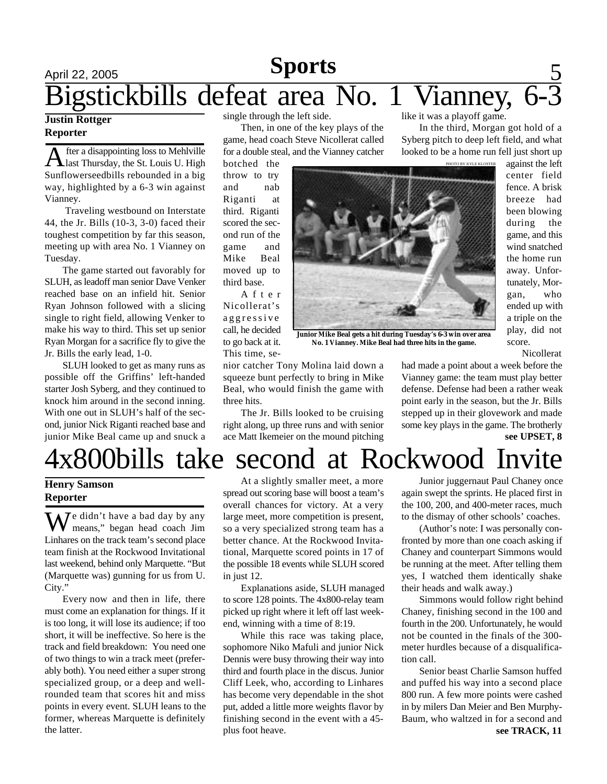## April 22, 2005 **Sports** 5 like it was a playoff game. Bigstickbills defeat area No. 1 Vianney, 6-3 **Sports**

## **Justin Rottger Reporter**

**A** fter a disappointing loss to Mehlville<br>alsa Thursday, the St. Louis U. High fter a disappointing loss to Mehlville Sunflowerseedbills rebounded in a big way, highlighted by a 6-3 win against Vianney.

 Traveling westbound on Interstate 44, the Jr. Bills (10-3, 3-0) faced their toughest competition by far this season, meeting up with area No. 1 Vianney on Tuesday.

The game started out favorably for SLUH, as leadoff man senior Dave Venker reached base on an infield hit. Senior Ryan Johnson followed with a slicing single to right field, allowing Venker to make his way to third. This set up senior Ryan Morgan for a sacrifice fly to give the Jr. Bills the early lead, 1-0.

SLUH looked to get as many runs as possible off the Griffins' left-handed starter Josh Syberg, and they continued to knock him around in the second inning. With one out in SLUH's half of the second, junior Nick Riganti reached base and junior Mike Beal came up and snuck a single through the left side.

Then, in one of the key plays of the game, head coach Steve Nicollerat called for a double steal, and the Vianney catcher

botched the throw to try and nab Riganti at third. Riganti scored the second run of the game and Mike Beal moved up to third base.

A f t e r Nicollerat's aggressive call, he decided to go back at it. This time, se-

nior catcher Tony Molina laid down a squeeze bunt perfectly to bring in Mike Beal, who would finish the game with three hits.

The Jr. Bills looked to be cruising right along, up three runs and with senior ace Matt Ikemeier on the mound pitching



**Junior Mike Beal gets a hit during Tuesday's 6-3 win over area No. 1 Vianney. Mike Beal had three hits in the game.**

against the left center field fence. A brisk breeze had been blowing during the game, and this wind snatched the home run away. Unfortunately, Morgan, who ended up with a triple on the play, did not score.

Nicollerat

had made a point about a week before the Vianney game: the team must play better defense. Defense had been a rather weak point early in the season, but the Jr. Bills stepped up in their glovework and made some key plays in the game. The brotherly **see UPSET, 8**

In the third, Morgan got hold of a Syberg pitch to deep left field, and what looked to be a home run fell just short up

# 4x800bills take second at Rockwood Invite

## **Henry Samson Reporter**

 $\sum I$ e didn't have a bad day by any means," began head coach Jim Linhares on the track team's second place team finish at the Rockwood Invitational last weekend, behind only Marquette. "But (Marquette was) gunning for us from U. City."

Every now and then in life, there must come an explanation for things. If it is too long, it will lose its audience; if too short, it will be ineffective. So here is the track and field breakdown: You need one of two things to win a track meet (preferably both). You need either a super strong specialized group, or a deep and wellrounded team that scores hit and miss points in every event. SLUH leans to the former, whereas Marquette is definitely the latter.

At a slightly smaller meet, a more spread out scoring base will boost a team's overall chances for victory. At a very large meet, more competition is present, so a very specialized strong team has a better chance. At the Rockwood Invitational, Marquette scored points in 17 of the possible 18 events while SLUH scored in just 12.

Explanations aside, SLUH managed to score 128 points. The 4x800-relay team picked up right where it left off last weekend, winning with a time of 8:19.

While this race was taking place, sophomore Niko Mafuli and junior Nick Dennis were busy throwing their way into third and fourth place in the discus. Junior Cliff Leek, who, according to Linhares has become very dependable in the shot put, added a little more weights flavor by finishing second in the event with a 45 plus foot heave.

Junior juggernaut Paul Chaney once again swept the sprints. He placed first in the 100, 200, and 400-meter races, much to the dismay of other schools' coaches.

(Author's note: I was personally confronted by more than one coach asking if Chaney and counterpart Simmons would be running at the meet. After telling them yes, I watched them identically shake their heads and walk away.)

Simmons would follow right behind Chaney, finishing second in the 100 and fourth in the 200. Unfortunately, he would not be counted in the finals of the 300 meter hurdles because of a disqualification call.

**see TRACK, 11** Senior beast Charlie Samson huffed and puffed his way into a second place 800 run. A few more points were cashed in by milers Dan Meier and Ben Murphy-Baum, who waltzed in for a second and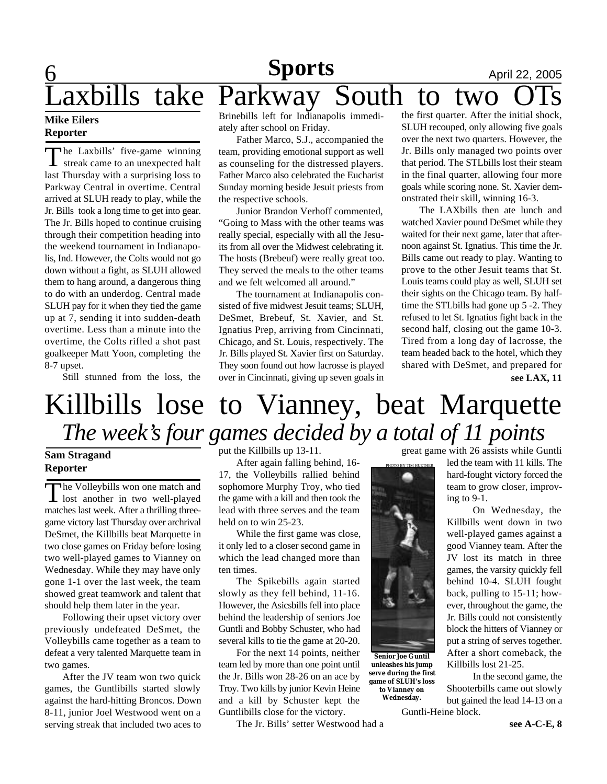## **6 News Sports April 22, 2005** axbills take Parkway South to two **Sports**

## **Mike Eilers Reporter**

The Laxbills' five-game winning<br>streak came to an unexpected halt streak came to an unexpected halt last Thursday with a surprising loss to Parkway Central in overtime. Central arrived at SLUH ready to play, while the Jr. Bills took a long time to get into gear. The Jr. Bills hoped to continue cruising through their competition heading into the weekend tournament in Indianapolis, Ind. However, the Colts would not go down without a fight, as SLUH allowed them to hang around, a dangerous thing to do with an underdog. Central made SLUH pay for it when they tied the game up at 7, sending it into sudden-death overtime. Less than a minute into the overtime, the Colts rifled a shot past goalkeeper Matt Yoon, completing the 8-7 upset.

Still stunned from the loss, the

Brinebills left for Indianapolis immediately after school on Friday.

Father Marco, S.J., accompanied the team, providing emotional support as well as counseling for the distressed players. Father Marco also celebrated the Eucharist Sunday morning beside Jesuit priests from the respective schools.

Junior Brandon Verhoff commented, "Going to Mass with the other teams was really special, especially with all the Jesuits from all over the Midwest celebrating it. The hosts (Brebeuf) were really great too. They served the meals to the other teams and we felt welcomed all around."

The tournament at Indianapolis consisted of five midwest Jesuit teams; SLUH, DeSmet, Brebeuf, St. Xavier, and St. Ignatius Prep, arriving from Cincinnati, Chicago, and St. Louis, respectively. The Jr. Bills played St. Xavier first on Saturday. They soon found out how lacrosse is played over in Cincinnati, giving up seven goals in

the first quarter. After the initial shock, SLUH recouped, only allowing five goals over the next two quarters. However, the Jr. Bills only managed two points over that period. The STLbills lost their steam in the final quarter, allowing four more goals while scoring none. St. Xavier demonstrated their skill, winning 16-3.

The LAXbills then ate lunch and watched Xavier pound DeSmet while they waited for their next game, later that afternoon against St. Ignatius. This time the Jr. Bills came out ready to play. Wanting to prove to the other Jesuit teams that St. Louis teams could play as well, SLUH set their sights on the Chicago team. By halftime the STLbills had gone up 5 -2. They refused to let St. Ignatius fight back in the second half, closing out the game 10-3. Tired from a long day of lacrosse, the team headed back to the hotel, which they shared with DeSmet, and prepared for **see LAX, 11**

# Killbills lose to Vianney, beat Marquette *The week's four games decided by a total of 11 points*

## **Sam Stragand Reporter**

The Volleybills won one match and<br>lost another in two well-played The Volleybills won one match and matches last week. After a thrilling threegame victory last Thursday over archrival DeSmet, the Killbills beat Marquette in two close games on Friday before losing two well-played games to Vianney on Wednesday. While they may have only gone 1-1 over the last week, the team showed great teamwork and talent that should help them later in the year.

Following their upset victory over previously undefeated DeSmet, the Volleybills came together as a team to defeat a very talented Marquette team in two games.

After the JV team won two quick games, the Guntlibills started slowly against the hard-hitting Broncos. Down 8-11, junior Joel Westwood went on a serving streak that included two aces to put the Killbills up 13-11.

After again falling behind, 16- 17, the Volleybills rallied behind sophomore Murphy Troy, who tied the game with a kill and then took the lead with three serves and the team held on to win 25-23.

While the first game was close, it only led to a closer second game in which the lead changed more than ten times.

The Spikebills again started slowly as they fell behind, 11-16. However, the Asicsbills fell into place behind the leadership of seniors Joe Guntli and Bobby Schuster, who had several kills to tie the game at 20-20.

For the next 14 points, neither team led by more than one point until the Jr. Bills won 28-26 on an ace by Troy. Two kills by junior Kevin Heine and a kill by Schuster kept the Guntlibills close for the victory.

The Jr. Bills' setter Westwood had a

great game with 26 assists while Guntli

**Senior Joe Guntil unleashes his jump serve during the first game of SLUH's loss to Vianney on Wednesday.**

led the team with 11 kills. The hard-fought victory forced the team to grow closer, improving to 9-1.

On Wednesday, the Killbills went down in two well-played games against a good Vianney team. After the JV lost its match in three games, the varsity quickly fell behind 10-4. SLUH fought back, pulling to 15-11; however, throughout the game, the Jr. Bills could not consistently block the hitters of Vianney or put a string of serves together. After a short comeback, the Killbills lost 21-25.

In the second game, the Shooterbills came out slowly but gained the lead 14-13 on a Guntli-Heine block.

**see A-C-E, 8**

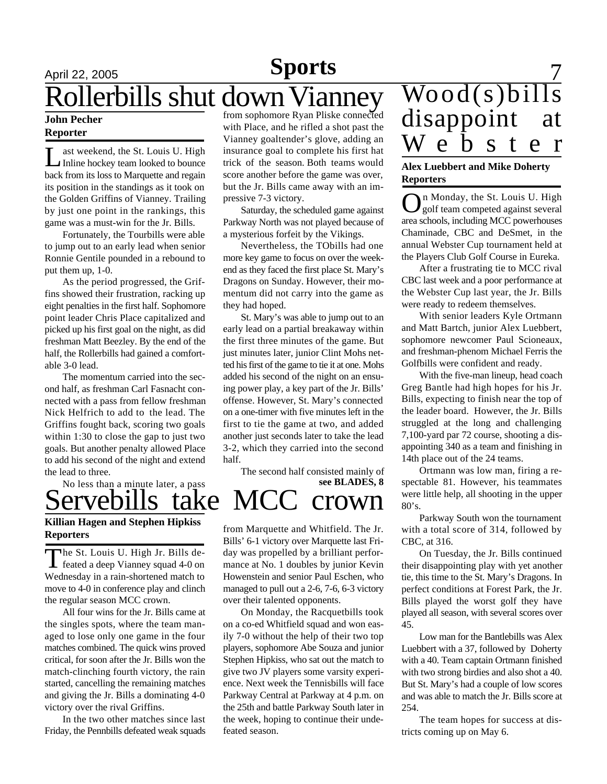## April 22, 2005 **Sports** 7 **Sports** Rollerbills shut down Vianney

### **John Pecher Reporter**

L ast weekend, the St. Louis U. High Inline hockey team looked to bounce back from its loss to Marquette and regain its position in the standings as it took on the Golden Griffins of Vianney. Trailing by just one point in the rankings, this game was a must-win for the Jr. Bills.

Fortunately, the Tourbills were able to jump out to an early lead when senior Ronnie Gentile pounded in a rebound to put them up, 1-0.

As the period progressed, the Griffins showed their frustration, racking up eight penalties in the first half. Sophomore point leader Chris Place capitalized and picked up his first goal on the night, as did freshman Matt Beezley. By the end of the half, the Rollerbills had gained a comfortable 3-0 lead.

The momentum carried into the second half, as freshman Carl Fasnacht connected with a pass from fellow freshman Nick Helfrich to add to the lead. The Griffins fought back, scoring two goals within 1:30 to close the gap to just two goals. But another penalty allowed Place to add his second of the night and extend the lead to three.

No less than a minute later, a pass

## Servebills take MCC crown **Killian Hagen and Stephen Hipkiss Reporters**

The St. Louis U. High Jr. Bills de-<br>feated a deep Vianney squad 4-0 on he St. Louis U. High Jr. Bills de-Wednesday in a rain-shortened match to move to 4-0 in conference play and clinch the regular season MCC crown.

All four wins for the Jr. Bills came at the singles spots, where the team managed to lose only one game in the four matches combined. The quick wins proved critical, for soon after the Jr. Bills won the match-clinching fourth victory, the rain started, cancelling the remaining matches and giving the Jr. Bills a dominating 4-0 victory over the rival Griffins.

In the two other matches since last Friday, the Pennbills defeated weak squads

from sophomore Ryan Pliske connected with Place, and he rifled a shot past the Vianney goaltender's glove, adding an insurance goal to complete his first hat trick of the season. Both teams would score another before the game was over, but the Jr. Bills came away with an impressive 7-3 victory.

Saturday, the scheduled game against Parkway North was not played because of a mysterious forfeit by the Vikings.

Nevertheless, the TObills had one more key game to focus on over the weekend as they faced the first place St. Mary's Dragons on Sunday. However, their momentum did not carry into the game as they had hoped.

St. Mary's was able to jump out to an early lead on a partial breakaway within the first three minutes of the game. But just minutes later, junior Clint Mohs netted his first of the game to tie it at one. Mohs added his second of the night on an ensuing power play, a key part of the Jr. Bills' offense. However, St. Mary's connected on a one-timer with five minutes left in the first to tie the game at two, and added another just seconds later to take the lead 3-2, which they carried into the second half.

The second half consisted mainly of **see BLADES, 8**

from Marquette and Whitfield. The Jr. Bills' 6-1 victory over Marquette last Friday was propelled by a brilliant performance at No. 1 doubles by junior Kevin Howenstein and senior Paul Eschen, who managed to pull out a 2-6, 7-6, 6-3 victory over their talented opponents.

On Monday, the Racquetbills took on a co-ed Whitfield squad and won easily 7-0 without the help of their two top players, sophomore Abe Souza and junior Stephen Hipkiss, who sat out the match to give two JV players some varsity experience. Next week the Tennisbills will face Parkway Central at Parkway at 4 p.m. on the 25th and battle Parkway South later in the week, hoping to continue their undefeated season.

# Wood(s)bills disappoint at W e b s t e r

## **Alex Luebbert and Mike Doherty Reporters**

O n Monday, the St. Louis U. High golf team competed against several area schools, including MCC powerhouses Chaminade, CBC and DeSmet, in the annual Webster Cup tournament held at the Players Club Golf Course in Eureka.

After a frustrating tie to MCC rival CBC last week and a poor performance at the Webster Cup last year, the Jr. Bills were ready to redeem themselves.

With senior leaders Kyle Ortmann and Matt Bartch, junior Alex Luebbert, sophomore newcomer Paul Scioneaux, and freshman-phenom Michael Ferris the Golfbills were confident and ready.

With the five-man lineup, head coach Greg Bantle had high hopes for his Jr. Bills, expecting to finish near the top of the leader board. However, the Jr. Bills struggled at the long and challenging 7,100-yard par 72 course, shooting a disappointing 340 as a team and finishing in 14th place out of the 24 teams.

Ortmann was low man, firing a respectable 81. However, his teammates were little help, all shooting in the upper 80's.

Parkway South won the tournament with a total score of 314, followed by CBC, at 316.

On Tuesday, the Jr. Bills continued their disappointing play with yet another tie, this time to the St. Mary's Dragons. In perfect conditions at Forest Park, the Jr. Bills played the worst golf they have played all season, with several scores over 45.

Low man for the Bantlebills was Alex Luebbert with a 37, followed by Doherty with a 40. Team captain Ortmann finished with two strong birdies and also shot a 40. But St. Mary's had a couple of low scores and was able to match the Jr. Bills score at 254.

The team hopes for success at districts coming up on May 6.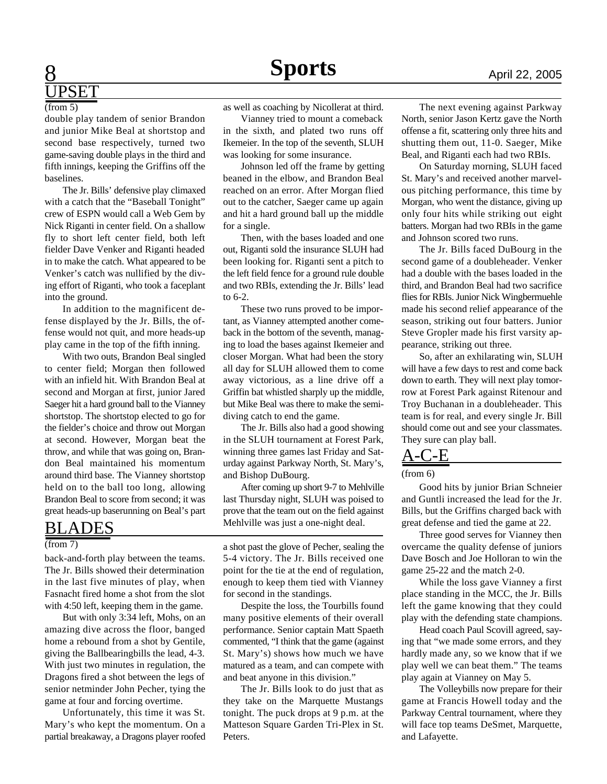## **8 News Sports April 22, 2005 UPSET**

#### (from 5)

double play tandem of senior Brandon and junior Mike Beal at shortstop and second base respectively, turned two game-saving double plays in the third and fifth innings, keeping the Griffins off the baselines.

The Jr. Bills' defensive play climaxed with a catch that the "Baseball Tonight" crew of ESPN would call a Web Gem by Nick Riganti in center field. On a shallow fly to short left center field, both left fielder Dave Venker and Riganti headed in to make the catch. What appeared to be Venker's catch was nullified by the diving effort of Riganti, who took a faceplant into the ground.

In addition to the magnificent defense displayed by the Jr. Bills, the offense would not quit, and more heads-up play came in the top of the fifth inning.

With two outs, Brandon Beal singled to center field; Morgan then followed with an infield hit. With Brandon Beal at second and Morgan at first, junior Jared Saeger hit a hard ground ball to the Vianney shortstop. The shortstop elected to go for the fielder's choice and throw out Morgan at second. However, Morgan beat the throw, and while that was going on, Brandon Beal maintained his momentum around third base. The Vianney shortstop held on to the ball too long, allowing Brandon Beal to score from second; it was great heads-up baserunning on Beal's part

## BLADES

#### (from 7)

back-and-forth play between the teams. The Jr. Bills showed their determination in the last five minutes of play, when Fasnacht fired home a shot from the slot with 4:50 left, keeping them in the game.

But with only 3:34 left, Mohs, on an amazing dive across the floor, banged home a rebound from a shot by Gentile, giving the Ballbearingbills the lead, 4-3. With just two minutes in regulation, the Dragons fired a shot between the legs of senior netminder John Pecher, tying the game at four and forcing overtime.

Unfortunately, this time it was St. Mary's who kept the momentum. On a partial breakaway, a Dragons player roofed as well as coaching by Nicollerat at third.

Vianney tried to mount a comeback in the sixth, and plated two runs off Ikemeier. In the top of the seventh, SLUH was looking for some insurance.

Johnson led off the frame by getting beaned in the elbow, and Brandon Beal reached on an error. After Morgan flied out to the catcher, Saeger came up again and hit a hard ground ball up the middle for a single.

Then, with the bases loaded and one out, Riganti sold the insurance SLUH had been looking for. Riganti sent a pitch to the left field fence for a ground rule double and two RBIs, extending the Jr. Bills' lead to 6-2.

These two runs proved to be important, as Vianney attempted another comeback in the bottom of the seventh, managing to load the bases against Ikemeier and closer Morgan. What had been the story all day for SLUH allowed them to come away victorious, as a line drive off a Griffin bat whistled sharply up the middle, but Mike Beal was there to make the semidiving catch to end the game.

The Jr. Bills also had a good showing in the SLUH tournament at Forest Park, winning three games last Friday and Saturday against Parkway North, St. Mary's, and Bishop DuBourg.

After coming up short 9-7 to Mehlville last Thursday night, SLUH was poised to prove that the team out on the field against Mehlville was just a one-night deal.

a shot past the glove of Pecher, sealing the 5-4 victory. The Jr. Bills received one point for the tie at the end of regulation, enough to keep them tied with Vianney for second in the standings.

Despite the loss, the Tourbills found many positive elements of their overall performance. Senior captain Matt Spaeth commented, "I think that the game (against St. Mary's) shows how much we have matured as a team, and can compete with and beat anyone in this division."

The Jr. Bills look to do just that as they take on the Marquette Mustangs tonight. The puck drops at 9 p.m. at the Matteson Square Garden Tri-Plex in St. Peters.

The next evening against Parkway North, senior Jason Kertz gave the North offense a fit, scattering only three hits and shutting them out, 11-0. Saeger, Mike Beal, and Riganti each had two RBIs.

On Saturday morning, SLUH faced St. Mary's and received another marvelous pitching performance, this time by Morgan, who went the distance, giving up only four hits while striking out eight batters. Morgan had two RBIs in the game and Johnson scored two runs.

The Jr. Bills faced DuBourg in the second game of a doubleheader. Venker had a double with the bases loaded in the third, and Brandon Beal had two sacrifice flies for RBIs. Junior Nick Wingbermuehle made his second relief appearance of the season, striking out four batters. Junior Steve Gropler made his first varsity appearance, striking out three.

So, after an exhilarating win, SLUH will have a few days to rest and come back down to earth. They will next play tomorrow at Forest Park against Ritenour and Troy Buchanan in a doubleheader. This team is for real, and every single Jr. Bill should come out and see your classmates. They sure can play ball.

## A-C-E

(from 6)

Good hits by junior Brian Schneier and Guntli increased the lead for the Jr. Bills, but the Griffins charged back with great defense and tied the game at 22.

Three good serves for Vianney then overcame the quality defense of juniors Dave Bosch and Joe Holloran to win the game 25-22 and the match 2-0.

While the loss gave Vianney a first place standing in the MCC, the Jr. Bills left the game knowing that they could play with the defending state champions.

Head coach Paul Scovill agreed, saying that "we made some errors, and they hardly made any, so we know that if we play well we can beat them." The teams play again at Vianney on May 5.

The Volleybills now prepare for their game at Francis Howell today and the Parkway Central tournament, where they will face top teams DeSmet, Marquette, and Lafayette.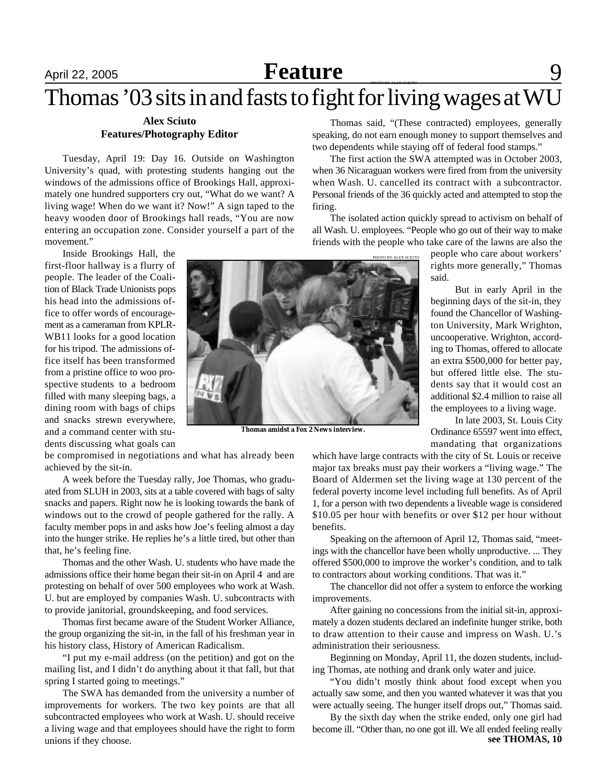# April 22, 2005 **Feature** 9

# Thomas '03 sits in and fasts to fight for living wages at  $WU$

## **Alex Sciuto Features/Photography Editor**

Tuesday, April 19: Day 16. Outside on Washington University's quad, with protesting students hanging out the windows of the admissions office of Brookings Hall, approximately one hundred supporters cry out, "What do we want? A living wage! When do we want it? Now!" A sign taped to the heavy wooden door of Brookings hall reads, "You are now entering an occupation zone. Consider yourself a part of the movement."

Inside Brookings Hall, the first-floor hallway is a flurry of people. The leader of the Coalition of Black Trade Unionists pops his head into the admissions office to offer words of encouragement as a cameraman from KPLR-WB11 looks for a good location for his tripod. The admissions office itself has been transformed from a pristine office to woo prospective students to a bedroom filled with many sleeping bags, a dining room with bags of chips and snacks strewn everywhere, and a command center with students discussing what goals can

be compromised in negotiations and what has already been achieved by the sit-in.

A week before the Tuesday rally, Joe Thomas, who graduated from SLUH in 2003, sits at a table covered with bags of salty snacks and papers. Right now he is looking towards the bank of windows out to the crowd of people gathered for the rally. A faculty member pops in and asks how Joe's feeling almost a day into the hunger strike. He replies he's a little tired, but other than that, he's feeling fine.

Thomas and the other Wash. U. students who have made the admissions office their home began their sit-in on April 4 and are protesting on behalf of over 500 employees who work at Wash. U. but are employed by companies Wash. U. subcontracts with to provide janitorial, groundskeeping, and food services.

Thomas first became aware of the Student Worker Alliance, the group organizing the sit-in, in the fall of his freshman year in his history class, History of American Radicalism.

"I put my e-mail address (on the petition) and got on the mailing list, and I didn't do anything about it that fall, but that spring I started going to meetings."

The SWA has demanded from the university a number of improvements for workers. The two key points are that all subcontracted employees who work at Wash. U. should receive a living wage and that employees should have the right to form unions if they choose.

Thomas said, "(These contracted) employees, generally speaking, do not earn enough money to support themselves and two dependents while staying off of federal food stamps."

The first action the SWA attempted was in October 2003, when 36 Nicaraguan workers were fired from from the university when Wash. U. cancelled its contract with a subcontractor. Personal friends of the 36 quickly acted and attempted to stop the firing.

The isolated action quickly spread to activism on behalf of all Wash. U. employees. "People who go out of their way to make friends with the people who take care of the lawns are also the

> people who care about workers' rights more generally," Thomas said.

> But in early April in the beginning days of the sit-in, they found the Chancellor of Washington University, Mark Wrighton, uncooperative. Wrighton, according to Thomas, offered to allocate an extra \$500,000 for better pay, but offered little else. The students say that it would cost an additional \$2.4 million to raise all the employees to a living wage.

> In late 2003, St. Louis City Ordinance 65597 went into effect, mandating that organizations

which have large contracts with the city of St. Louis or receive major tax breaks must pay their workers a "living wage." The Board of Aldermen set the living wage at 130 percent of the federal poverty income level including full benefits. As of April 1, for a person with two dependents a liveable wage is considered \$10.05 per hour with benefits or over \$12 per hour without benefits.

Speaking on the afternoon of April 12, Thomas said, "meetings with the chancellor have been wholly unproductive. ... They offered \$500,000 to improve the worker's condition, and to talk to contractors about working conditions. That was it."

The chancellor did not offer a system to enforce the working improvements.

After gaining no concessions from the initial sit-in, approximately a dozen students declared an indefinite hunger strike, both to draw attention to their cause and impress on Wash. U.'s administration their seriousness.

Beginning on Monday, April 11, the dozen students, including Thomas, ate nothing and drank only water and juice.

"You didn't mostly think about food except when you actually saw some, and then you wanted whatever it was that you were actually seeing. The hunger itself drops out," Thomas said.

By the sixth day when the strike ended, only one girl had become ill. "Other than, no one got ill. We all ended feeling really **see THOMAS, 10**



**Thomas amidst a Fox 2 News interview.**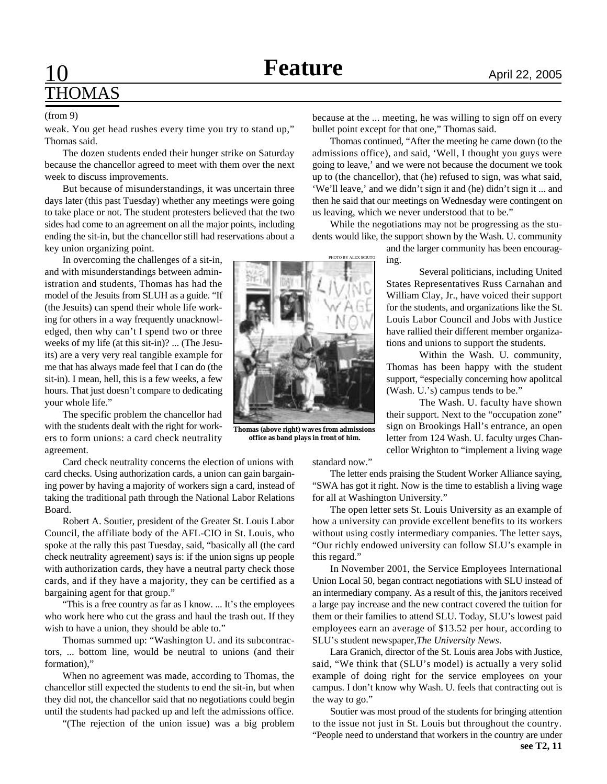# 10 **Feature April 22, 2005** THOMAS

#### (from 9)

weak. You get head rushes every time you try to stand up," Thomas said.

The dozen students ended their hunger strike on Saturday because the chancellor agreed to meet with them over the next week to discuss improvements.

But because of misunderstandings, it was uncertain three days later (this past Tuesday) whether any meetings were going to take place or not. The student protesters believed that the two sides had come to an agreement on all the major points, including ending the sit-in, but the chancellor still had reservations about a key union organizing point.

In overcoming the challenges of a sit-in, and with misunderstandings between administration and students, Thomas has had the model of the Jesuits from SLUH as a guide. "If (the Jesuits) can spend their whole life working for others in a way frequently unacknowledged, then why can't I spend two or three weeks of my life (at this sit-in)? ... (The Jesuits) are a very very real tangible example for me that has always made feel that I can do (the sit-in). I mean, hell, this is a few weeks, a few hours. That just doesn't compare to dedicating your whole life."

The specific problem the chancellor had with the students dealt with the right for workers to form unions: a card check neutrality agreement.

Card check neutrality concerns the election of unions with card checks. Using authorization cards, a union can gain bargaining power by having a majority of workers sign a card, instead of taking the traditional path through the National Labor Relations Board.

Robert A. Soutier, president of the Greater St. Louis Labor Council, the affiliate body of the AFL-CIO in St. Louis, who spoke at the rally this past Tuesday, said, "basically all (the card check neutrality agreement) says is: if the union signs up people with authorization cards, they have a neutral party check those cards, and if they have a majority, they can be certified as a bargaining agent for that group."

"This is a free country as far as I know. ... It's the employees who work here who cut the grass and haul the trash out. If they wish to have a union, they should be able to."

Thomas summed up: "Washington U. and its subcontractors, ... bottom line, would be neutral to unions (and their formation),"

When no agreement was made, according to Thomas, the chancellor still expected the students to end the sit-in, but when they did not, the chancellor said that no negotiations could begin until the students had packed up and left the admissions office.

"(The rejection of the union issue) was a big problem

because at the ... meeting, he was willing to sign off on every bullet point except for that one," Thomas said.

Thomas continued, "After the meeting he came down (to the admissions office), and said, 'Well, I thought you guys were going to leave,' and we were not because the document we took up to (the chancellor), that (he) refused to sign, was what said, 'We'll leave,' and we didn't sign it and (he) didn't sign it ... and then he said that our meetings on Wednesday were contingent on us leaving, which we never understood that to be."

While the negotiations may not be progressing as the students would like, the support shown by the Wash. U. community

> and the larger community has been encouraging.

Several politicians, including United States Representatives Russ Carnahan and William Clay, Jr., have voiced their support for the students, and organizations like the St. Louis Labor Council and Jobs with Justice have rallied their different member organizations and unions to support the students.

Within the Wash. U. community, Thomas has been happy with the student support, "especially concerning how apolitcal (Wash. U.'s) campus tends to be."

The Wash. U. faculty have shown their support. Next to the "occupation zone" sign on Brookings Hall's entrance, an open letter from 124 Wash. U. faculty urges Chancellor Wrighton to "implement a living wage

PHOTO BY ALEX SCIUTO

**Thomas (above right) waves from admissions office as band plays in front of him.**

The letter ends praising the Student Worker Alliance saying, "SWA has got it right. Now is the time to establish a living wage for all at Washington University."

The open letter sets St. Louis University as an example of how a university can provide excellent benefits to its workers without using costly intermediary companies. The letter says, "Our richly endowed university can follow SLU's example in this regard."

In November 2001, the Service Employees International Union Local 50, began contract negotiations with SLU instead of an intermediary company. As a result of this, the janitors received a large pay increase and the new contract covered the tuition for them or their families to attend SLU. Today, SLU's lowest paid employees earn an average of \$13.52 per hour, according to SLU's student newspaper,*The University News*.

Lara Granich, director of the St. Louis area Jobs with Justice, said, "We think that (SLU's model) is actually a very solid example of doing right for the service employees on your campus. I don't know why Wash. U. feels that contracting out is the way to go."

Soutier was most proud of the students for bringing attention to the issue not just in St. Louis but throughout the country. "People need to understand that workers in the country are under **see T2, 11**

standard now."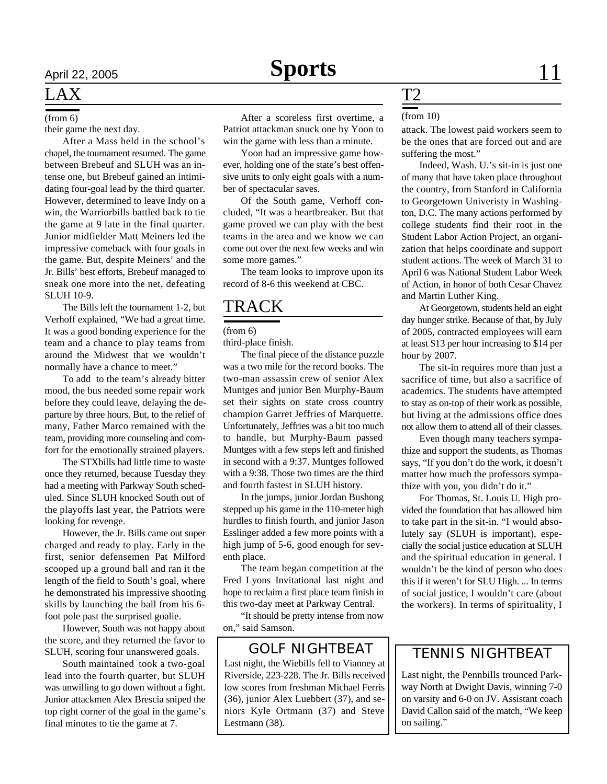#### (from 6)

their game the next day.

After a Mass held in the school's chapel, the tournament resumed. The game between Brebeuf and SLUH was an intense one, but Brebeuf gained an intimidating four-goal lead by the third quarter. However, determined to leave Indy on a win, the Warriorbills battled back to tie the game at 9 late in the final quarter. Junior midfielder Matt Meiners led the impressive comeback with four goals in the game. But, despite Meiners' and the Jr. Bills' best efforts, Brebeuf managed to sneak one more into the net, defeating SLUH 10-9.

The Bills left the tournament 1-2, but Verhoff explained, "We had a great time. It was a good bonding experience for the team and a chance to play teams from around the Midwest that we wouldn't normally have a chance to meet."

To add to the team's already bitter mood, the bus needed some repair work before they could leave, delaying the departure by three hours. But, to the relief of many, Father Marco remained with the team, providing more counseling and comfort for the emotionally strained players.

The STXbills had little time to waste once they returned, because Tuesday they had a meeting with Parkway South scheduled. Since SLUH knocked South out of the playoffs last year, the Patriots were looking for revenge.

However, the Jr. Bills came out super charged and ready to play. Early in the first, senior defensemen Pat Milford scooped up a ground ball and ran it the length of the field to South's goal, where he demonstrated his impressive shooting skills by launching the ball from his 6 foot pole past the surprised goalie.

However, South was not happy about the score, and they returned the favor to SLUH, scoring four unanswered goals.

South maintained took a two-goal lead into the fourth quarter, but SLUH was unwilling to go down without a fight. Junior attackmen Alex Brescia sniped the top right corner of the goal in the game's final minutes to tie the game at 7.

After a scoreless first overtime, a Patriot attackman snuck one by Yoon to win the game with less than a minute.

Yoon had an impressive game however, holding one of the state's best offensive units to only eight goals with a number of spectacular saves.

Of the South game, Verhoff concluded, "It was a heartbreaker. But that game proved we can play with the best teams in the area and we know we can come out over the next few weeks and win some more games."

The team looks to improve upon its record of 8-6 this weekend at CBC.

## TRACK

(from 6)

third-place finish.

The final piece of the distance puzzle was a two mile for the record books. The two-man assassin crew of senior Alex Muntges and junior Ben Murphy-Baum set their sights on state cross country champion Garret Jeffries of Marquette. Unfortunately, Jeffries was a bit too much to handle, but Murphy-Baum passed Muntges with a few steps left and finished in second with a 9:37. Muntges followed with a 9:38. Those two times are the third and fourth fastest in SLUH history.

In the jumps, junior Jordan Bushong stepped up his game in the 110-meter high hurdles to finish fourth, and junior Jason Esslinger added a few more points with a high jump of 5-6, good enough for seventh place.

The team began competition at the Fred Lyons Invitational last night and hope to reclaim a first place team finish in this two-day meet at Parkway Central.

"It should be pretty intense from now on," said Samson.

## GOLF NIGHTBEAT | TENNIS NIGHTBEAT

Last night, the Wiebills fell to Vianney at Riverside, 223-228. The Jr. Bills received low scores from freshman Michael Ferris (36), junior Alex Luebbert (37), and seniors Kyle Ortmann (37) and Steve Lestmann (38).

## T2

### (from 10)

attack. The lowest paid workers seem to be the ones that are forced out and are suffering the most."

Indeed, Wash. U.'s sit-in is just one of many that have taken place throughout the country, from Stanford in California to Georgetown Univeristy in Washington, D.C. The many actions performed by college students find their root in the Student Labor Action Project, an organization that helps coordinate and support student actions. The week of March 31 to April 6 was National Student Labor Week of Action, in honor of both Cesar Chavez and Martin Luther King.

At Georgetown, students held an eight day hunger strike. Because of that, by July of 2005, contracted employees will earn at least \$13 per hour increasing to \$14 per hour by 2007.

The sit-in requires more than just a sacrifice of time, but also a sacrifice of academics. The students have attempted to stay as on-top of their work as possible, but living at the admissions office does not allow them to attend all of their classes.

Even though many teachers sympathize and support the students, as Thomas says, "If you don't do the work, it doesn't matter how much the professors sympathize with you, you didn't do it."

For Thomas, St. Louis U. High provided the foundation that has allowed him to take part in the sit-in. "I would absolutely say (SLUH is important), especially the social justice education at SLUH and the spiritual education in general. I wouldn't be the kind of person who does this if it weren't for SLU High. ... In terms of social justice, I wouldn't care (about the workers). In terms of spirituality, I

Last night, the Pennbills trounced Parkway North at Dwight Davis, winning 7-0 on varsity and 6-0 on JV. Assistant coach David Callon said of the match, "We keep on sailing."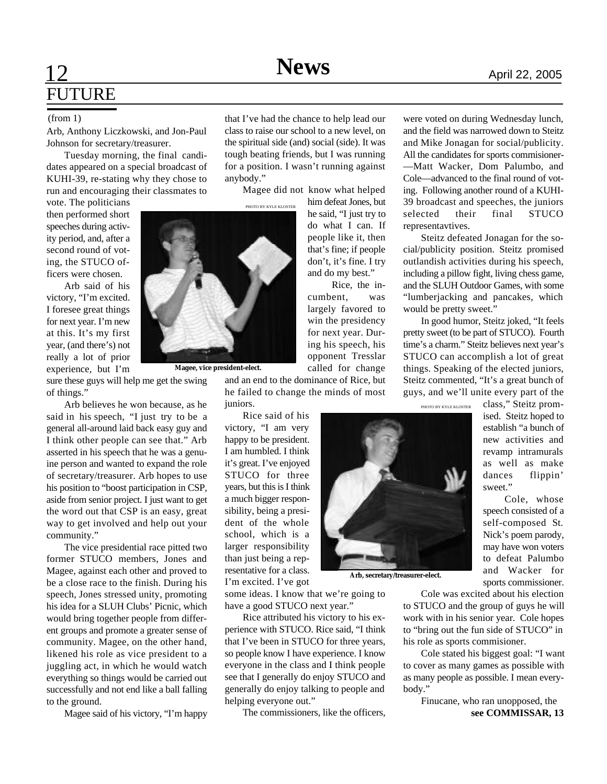## **12 News** April 22, 2005 FUTURE

Arb, Anthony Liczkowski, and Jon-Paul Johnson for secretary/treasurer.

Tuesday morning, the final candidates appeared on a special broadcast of KUHI-39, re-stating why they chose to run and encouraging their classmates to

vote. The politicians then performed short speeches during activity period, and, after a second round of voting, the STUCO officers were chosen.

Arb said of his victory, "I'm excited. I foresee great things for next year. I'm new at this. It's my first year, (and there's) not really a lot of prior experience, but I'm

sure these guys will help me get the swing of things."

Arb believes he won because, as he said in his speech, "I just try to be a general all-around laid back easy guy and I think other people can see that." Arb asserted in his speech that he was a genuine person and wanted to expand the role of secretary/treasurer. Arb hopes to use his position to "boost participation in CSP, aside from senior project. I just want to get the word out that CSP is an easy, great way to get involved and help out your community."

The vice presidential race pitted two former STUCO members, Jones and Magee, against each other and proved to be a close race to the finish. During his speech, Jones stressed unity, promoting his idea for a SLUH Clubs' Picnic, which would bring together people from different groups and promote a greater sense of community. Magee, on the other hand, likened his role as vice president to a juggling act, in which he would watch everything so things would be carried out successfully and not end like a ball falling to the ground.

Magee said of his victory, "I'm happy

(from 1) that I've had the chance to help lead our class to raise our school to a new level, on the spiritual side (and) social (side). It was tough beating friends, but I was running for a position. I wasn't running against anybody."

> Magee did not know what helped him defeat Jones, but

PHOTO BY KYLE KLOSTER



**Magee, vice president-elect.**

and an end to the dominance of Rice, but he failed to change the minds of most juniors.

Rice, the in-

called for change

**Arb, secretary/treasurer-elect.**

Rice said of his victory, "I am very happy to be president. I am humbled. I think it's great. I've enjoyed STUCO for three years, but this is I think a much bigger responsibility, being a president of the whole school, which is a larger responsibility than just being a representative for a class. I'm excited. I've got

some ideas. I know that we're going to have a good STUCO next year."

Rice attributed his victory to his experience with STUCO. Rice said, "I think that I've been in STUCO for three years, so people know I have experience. I know everyone in the class and I think people see that I generally do enjoy STUCO and generally do enjoy talking to people and helping everyone out."

The commissioners, like the officers,

were voted on during Wednesday lunch, and the field was narrowed down to Steitz and Mike Jonagan for social/publicity. All the candidates for sports commisioner- —Matt Wacker, Dom Palumbo, and Cole—advanced to the final round of voting. Following another round of a KUHI-39 broadcast and speeches, the juniors selected their final STUCO representavtives.

Steitz defeated Jonagan for the social/publicity position. Steitz promised outlandish activities during his speech, including a pillow fight, living chess game, and the SLUH Outdoor Games, with some "lumberjacking and pancakes, which would be pretty sweet."

In good humor, Steitz joked, "It feels pretty sweet (to be part of STUCO). Fourth time's a charm." Steitz believes next year's STUCO can accomplish a lot of great things. Speaking of the elected juniors, Steitz commented, "It's a great bunch of guys, and we'll unite every part of the

class," Steitz promised. Steitz hoped to establish "a bunch of new activities and revamp intramurals as well as make dances flippin' sweet."

speech consisted of a self-composed St. Nick's poem parody, may have won voters to defeat Palumbo and Wacker for sports commissioner.

Cole was excited about his election to STUCO and the group of guys he will work with in his senior year. Cole hopes to "bring out the fun side of STUCO" in his role as sports commisioner.

Cole stated his biggest goal: "I want to cover as many games as possible with as many people as possible. I mean everybody."

> Finucane, who ran unopposed, the **see COMMISSAR, 13**

PHOTO BY KYLE KLOSTER

Cole, whose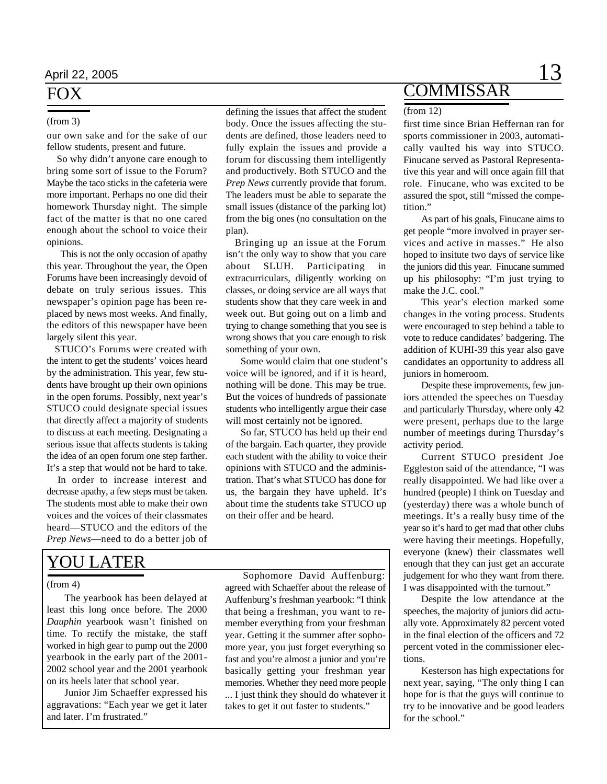## FOX

### (from 3)

our own sake and for the sake of our fellow students, present and future.

 So why didn't anyone care enough to bring some sort of issue to the Forum? Maybe the taco sticks in the cafeteria were more important. Perhaps no one did their homework Thursday night. The simple fact of the matter is that no one cared enough about the school to voice their opinions.

 This is not the only occasion of apathy this year. Throughout the year, the Open Forums have been increasingly devoid of debate on truly serious issues. This newspaper's opinion page has been replaced by news most weeks. And finally, the editors of this newspaper have been largely silent this year.

 STUCO's Forums were created with the intent to get the students' voices heard by the administration. This year, few students have brought up their own opinions in the open forums. Possibly, next year's STUCO could designate special issues that directly affect a majority of students to discuss at each meeting. Designating a serious issue that affects students is taking the idea of an open forum one step farther. It's a step that would not be hard to take.

In order to increase interest and decrease apathy, a few steps must be taken. The students most able to make their own voices and the voices of their classmates heard—STUCO and the editors of the *Prep News*—need to do a better job of

## YOU LATER

### (from 4)

The yearbook has been delayed at least this long once before. The 2000 *Dauphin* yearbook wasn't finished on time. To rectify the mistake, the staff worked in high gear to pump out the 2000 yearbook in the early part of the 2001- 2002 school year and the 2001 yearbook on its heels later that school year.

Junior Jim Schaeffer expressed his aggravations: "Each year we get it later and later. I'm frustrated."

defining the issues that affect the student body. Once the issues affecting the students are defined, those leaders need to fully explain the issues and provide a forum for discussing them intelligently and productively. Both STUCO and the *Prep News* currently provide that forum. The leaders must be able to separate the small issues (distance of the parking lot) from the big ones (no consultation on the plan).

 Bringing up an issue at the Forum isn't the only way to show that you care about SLUH. Participating extracurriculars, diligently working on classes, or doing service are all ways that students show that they care week in and week out. But going out on a limb and trying to change something that you see is wrong shows that you care enough to risk something of your own.

 Some would claim that one student's voice will be ignored, and if it is heard, nothing will be done. This may be true. But the voices of hundreds of passionate students who intelligently argue their case will most certainly not be ignored.

 So far, STUCO has held up their end of the bargain. Each quarter, they provide each student with the ability to voice their opinions with STUCO and the administration. That's what STUCO has done for us, the bargain they have upheld. It's about time the students take STUCO up on their offer and be heard.

Sophomore David Auffenburg: agreed with Schaeffer about the release of Auffenburg's freshman yearbook: "I think that being a freshman, you want to remember everything from your freshman year. Getting it the summer after sophomore year, you just forget everything so fast and you're almost a junior and you're basically getting your freshman year memories. Whether they need more people ... I just think they should do whatever it takes to get it out faster to students."

## **COMMISSAR**

#### (from 12)

first time since Brian Heffernan ran for sports commissioner in 2003, automatically vaulted his way into STUCO. Finucane served as Pastoral Representative this year and will once again fill that role. Finucane, who was excited to be assured the spot, still "missed the competition."

As part of his goals, Finucane aims to get people "more involved in prayer services and active in masses." He also hoped to insitute two days of service like the juniors did this year. Finucane summed up his philosophy: "I'm just trying to make the J.C. cool."

This year's election marked some changes in the voting process. Students were encouraged to step behind a table to vote to reduce candidates' badgering. The addition of KUHI-39 this year also gave candidates an opportunity to address all juniors in homeroom.

Despite these improvements, few juniors attended the speeches on Tuesday and particularly Thursday, where only 42 were present, perhaps due to the large number of meetings during Thursday's activity period.

Current STUCO president Joe Eggleston said of the attendance, "I was really disappointed. We had like over a hundred (people) I think on Tuesday and (yesterday) there was a whole bunch of meetings. It's a really busy time of the year so it's hard to get mad that other clubs were having their meetings. Hopefully, everyone (knew) their classmates well enough that they can just get an accurate judgement for who they want from there. I was disappointed with the turnout."

Despite the low attendance at the speeches, the majority of juniors did actually vote. Approximately 82 percent voted in the final election of the officers and 72 percent voted in the commissioner elections.

Kesterson has high expectations for next year, saying, "The only thing I can hope for is that the guys will continue to try to be innovative and be good leaders for the school."